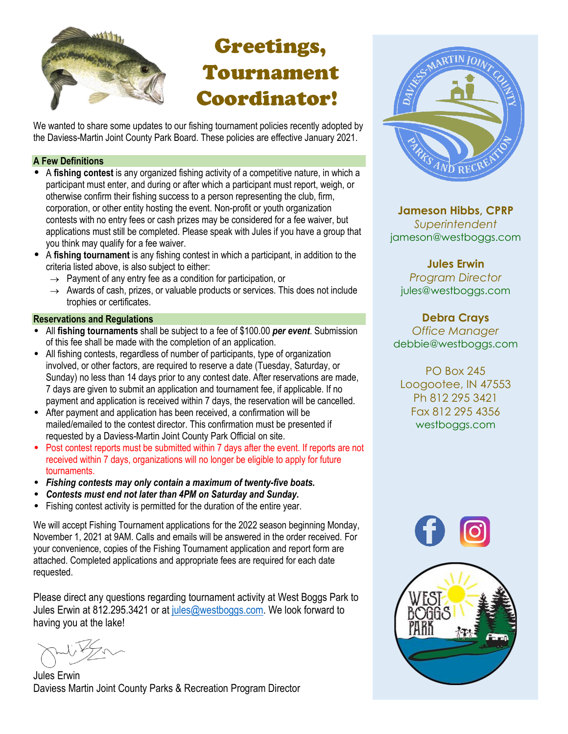

## Greetings, Tournament Coordinator!

We wanted to share some updates to our fishing tournament policies recently adopted by the Daviess-Martin Joint County Park Board. These policies are effective January 2021.

#### **A Few Definitions**

- A **fishing contest** is any organized fishing activity of a competitive nature, in which a participant must enter, and during or after which a participant must report, weigh, or otherwise confirm their fishing success to a person representing the club, firm, corporation, or other entity hosting the event. Non-profit or youth organization contests with no entry fees or cash prizes may be considered for a fee waiver, but applications must still be completed. Please speak with Jules if you have a group that you think may qualify for a fee waiver.
- A **fishing tournament** is any fishing contest in which a participant, in addition to the criteria listed above, is also subject to either:
	- $\rightarrow$  Payment of any entry fee as a condition for participation, or
	- $\rightarrow$  Awards of cash, prizes, or valuable products or services. This does not include trophies or certificates.

#### **Reservations and Regulations**

- All **fishing tournaments** shall be subject to a fee of \$100.00 *per event*. Submission of this fee shall be made with the completion of an application.
- All fishing contests, regardless of number of participants, type of organization involved, or other factors, are required to reserve a date (Tuesday, Saturday, or Sunday) no less than 14 days prior to any contest date. After reservations are made, 7 days are given to submit an application and tournament fee, if applicable. If no payment and application is received within 7 days, the reservation will be cancelled.
- After payment and application has been received, a confirmation will be mailed/emailed to the contest director. This confirmation must be presented if requested by a Daviess-Martin Joint County Park Official on site.
- Post contest reports must be submitted within 7 days after the event. If reports are not received within 7 days, organizations will no longer be eligible to apply for future tournaments.
- *Fishing contests may only contain a maximum of twenty-five boats.*
- *Contests must end not later than 4PM on Saturday and Sunday.*
- Fishing contest activity is permitted for the duration of the entire year.

We will accept Fishing Tournament applications for the 2022 season beginning Monday, November 1, 2021 at 9AM. Calls and emails will be answered in the order received. For your convenience, copies of the Fishing Tournament application and report form are attached. Completed applications and appropriate fees are required for each date requested.

Please direct any questions regarding tournament activity at West Boggs Park to Jules Erwin at 812.295.3421 or at [jules@westboggs.com.](mailto:jules@westboggs.com) We look forward to having you at the lake!

Jules Erwin Daviess Martin Joint County Parks & Recreation Program Director



**Jameson Hibbs, CPRP** *Superintendent* jameson@westboggs.com

**Jules Erwin** *Program Director* jules@westboggs.com

**Debra Crays** *Office Manager* debbie@westboggs.com

PO Box 245 Loogootee, IN 47553 Ph 812 295 3421 Fax 812 295 4356 westboggs.com



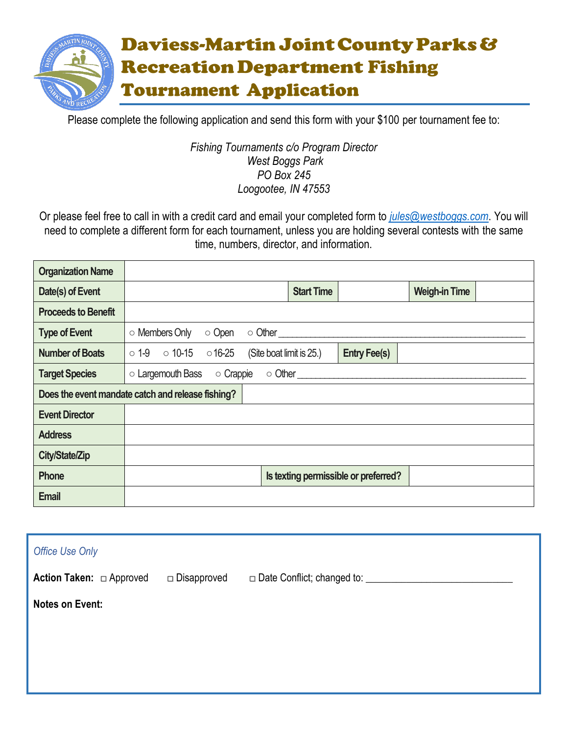

Please complete the following application and send this form with your \$100 per tournament fee to:

#### *Fishing Tournaments c/o Program Director West Boggs Park PO Box 245 Loogootee, IN 47553*

Or please feel free to call in with a credit card and email your completed form to *[jules@westboggs.com](mailto:jules@westboggs.com)*. You will need to complete a different form for each tournament, unless you are holding several contests with the same time, numbers, director, and information.

| <b>Organization Name</b>   |                                                   |                          |                   |                                      |                      |  |
|----------------------------|---------------------------------------------------|--------------------------|-------------------|--------------------------------------|----------------------|--|
| Date(s) of Event           |                                                   |                          | <b>Start Time</b> |                                      | <b>Weigh-in Time</b> |  |
| <b>Proceeds to Benefit</b> |                                                   |                          |                   |                                      |                      |  |
| <b>Type of Event</b>       | ○ Members Only<br>○ Open                          | $\circ$ Other            |                   |                                      |                      |  |
| <b>Number of Boats</b>     | $\circ$ 1-9 $\circ$ 10-15<br>$016 - 25$           | (Site boat limit is 25.) |                   | <b>Entry Fee(s)</b>                  |                      |  |
| <b>Target Species</b>      | $\circ$ Largemouth Bass<br>o Crappie              | $\circ$ Other $\_\_$     |                   |                                      |                      |  |
|                            | Does the event mandate catch and release fishing? |                          |                   |                                      |                      |  |
| <b>Event Director</b>      |                                                   |                          |                   |                                      |                      |  |
| <b>Address</b>             |                                                   |                          |                   |                                      |                      |  |
| City/State/Zip             |                                                   |                          |                   |                                      |                      |  |
| Phone                      |                                                   |                          |                   | Is texting permissible or preferred? |                      |  |
| <b>Email</b>               |                                                   |                          |                   |                                      |                      |  |

| <b>Office Use Only</b>          |               |                                      |
|---------------------------------|---------------|--------------------------------------|
| <b>Action Taken:</b> □ Approved | □ Disapproved | □ Date Conflict; changed to: _______ |
| <b>Notes on Event:</b>          |               |                                      |
|                                 |               |                                      |
|                                 |               |                                      |
|                                 |               |                                      |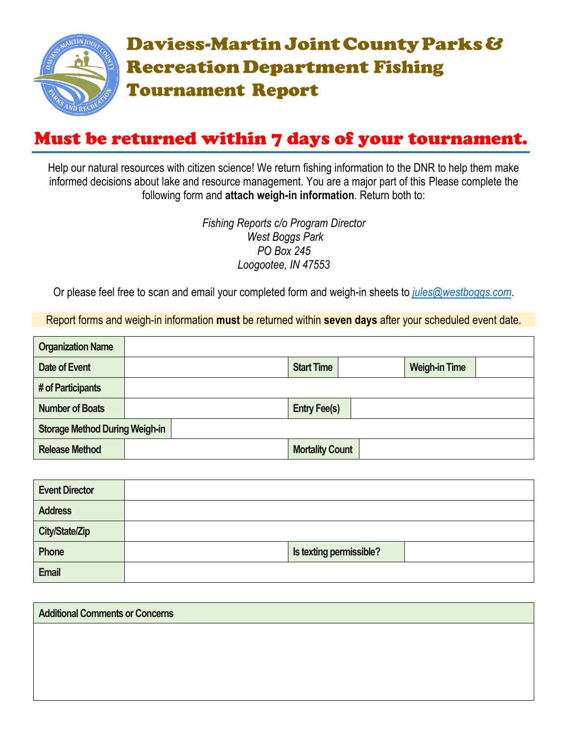

### Must be returned within 7 days of your tournament.

Help our natural resources with citizen science! We return fishing information to the DNR to help them make informed decisions about lake and resource management. You are a major part of this Please complete the following form and **attach weigh-in information**. Return both to:

> *Fishing Reports c/o Program Director West Boggs Park PO Box 245 Loogootee, IN 47553*

Or please feel free to scan and email your completed form and weigh-in sheets to *[jules@westboggs.com](mailto:jules@westboggs.com)*.

Report forms and weigh-in information **must** be returned within **seven days** after your scheduled event date.

| <b>Organization Name</b>              |  |                        |                      |
|---------------------------------------|--|------------------------|----------------------|
| Date of Event                         |  | <b>Start Time</b>      | <b>Weigh-in Time</b> |
| # of Participants                     |  |                        |                      |
| <b>Number of Boats</b>                |  | <b>Entry Fee(s)</b>    |                      |
| <b>Storage Method During Weigh-in</b> |  |                        |                      |
| <b>Release Method</b>                 |  | <b>Mortality Count</b> |                      |

| <b>Event Director</b> |                         |
|-----------------------|-------------------------|
| <b>Address</b>        |                         |
| <b>City/State/Zip</b> |                         |
| Phone                 | Is texting permissible? |
| <b>Email</b>          |                         |

| <b>Additional Comments or Concerns</b> |  |  |
|----------------------------------------|--|--|
|                                        |  |  |
|                                        |  |  |
|                                        |  |  |